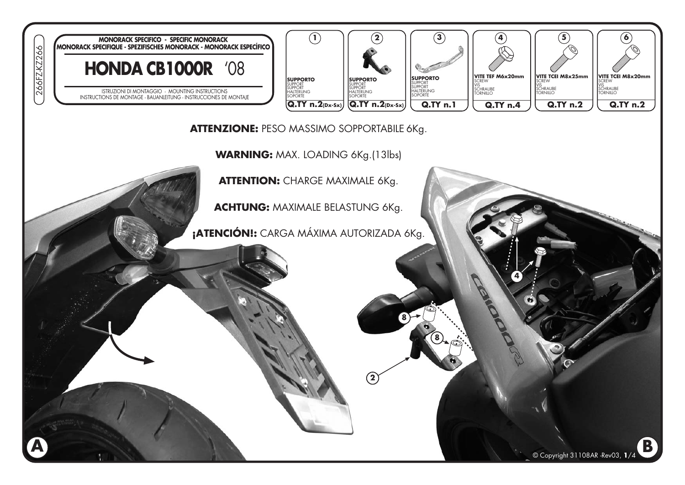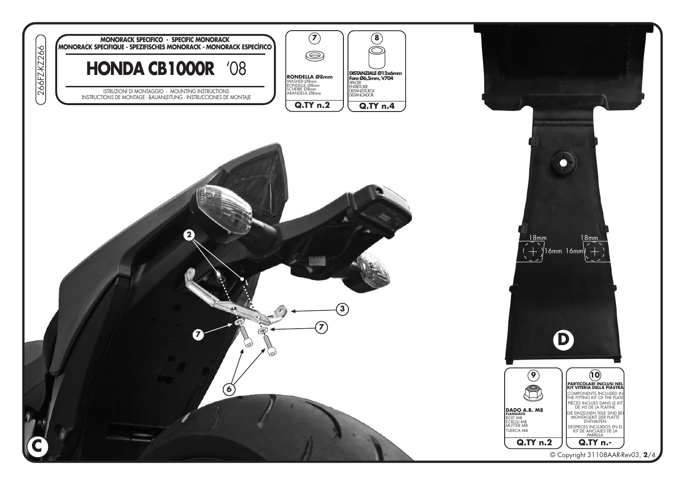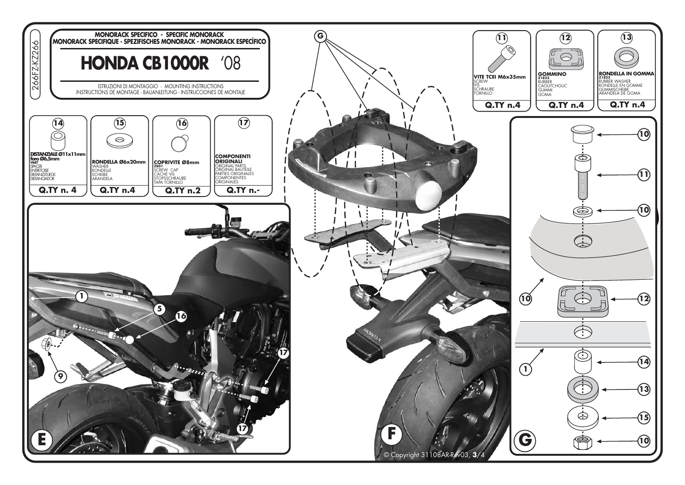